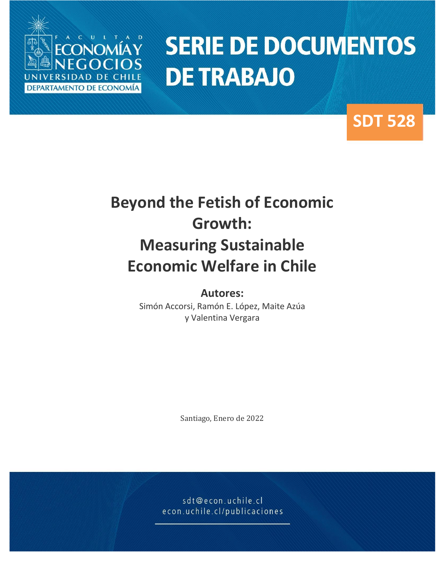

# **SERIE DE DOCUMENTOS DE TRABAJO**

### **SDT 528**

## **Beyond the Fetish of Economic Growth: Measuring Sustainable Economic Welfare in Chile**

**Autores:** Simón Accorsi, Ramón E. López, Maite Azúa y Valentina Vergara

Santiago, Enero de 2022

sdt@econ.uchile.cl econ.uchile.cl/publicaciones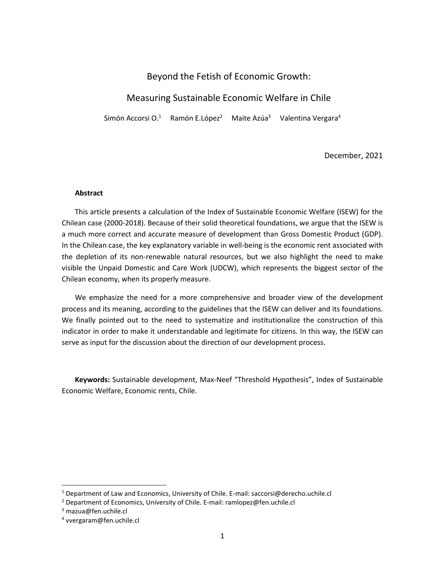#### Beyond the Fetish of Economic Growth:

#### Measuring Sustainable Economic Welfare in Chile

Simón Accorsi O.<sup>1</sup> Ramón E.López<sup>2</sup> Maite Azúa<sup>3</sup> Valentina Vergara<sup>4</sup>

December, 2021

#### **Abstract**

This article presents a calculation of the Index of Sustainable Economic Welfare (ISEW) for the Chilean case (2000-2018). Because of their solid theoretical foundations, we argue that the ISEW is a much more correct and accurate measure of development than Gross Domestic Product (GDP). In the Chilean case, the key explanatory variable in well-being is the economic rent associated with the depletion of its non-renewable natural resources, but we also highlight the need to make visible the Unpaid Domestic and Care Work (UDCW), which represents the biggest sector of the Chilean economy, when its properly measure.

We emphasize the need for a more comprehensive and broader view of the development process and its meaning, according to the guidelines that the ISEW can deliver and its foundations. We finally pointed out to the need to systematize and institutionalize the construction of this indicator in order to make it understandable and legitimate for citizens. In this way, the ISEW can serve as input for the discussion about the direction of our development process.

**Keywords:** Sustainable development, Max-Neef "Threshold Hypothesis", Index of Sustainable Economic Welfare, Economic rents, Chile.

<sup>&</sup>lt;sup>1</sup> Department of Law and Economics, University of Chile. E-mail: saccorsi@derecho.uchile.cl

<sup>2</sup> Department of Economics, University of Chile. E-mail: ramlopez@fen.uchile.cl

<sup>3</sup> mazua@fen.uchile.cl

<sup>4</sup> vvergaram@fen.uchile.cl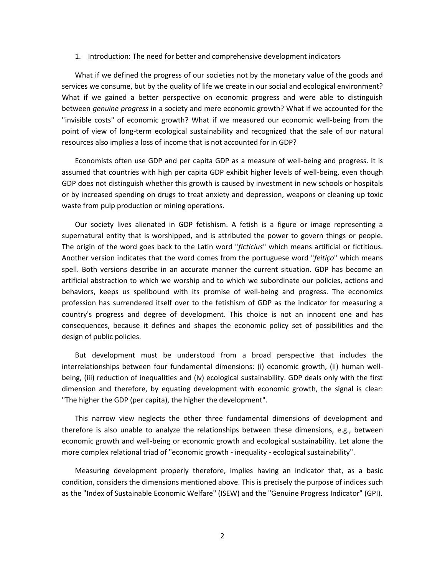#### 1. Introduction: The need for better and comprehensive development indicators

What if we defined the progress of our societies not by the monetary value of the goods and services we consume, but by the quality of life we create in our social and ecological environment? What if we gained a better perspective on economic progress and were able to distinguish between *genuine progress* in a society and mere economic growth? What if we accounted for the "invisible costs" of economic growth? What if we measured our economic well-being from the point of view of long-term ecological sustainability and recognized that the sale of our natural resources also implies a loss of income that is not accounted for in GDP?

Economists often use GDP and per capita GDP as a measure of well-being and progress. It is assumed that countries with high per capita GDP exhibit higher levels of well-being, even though GDP does not distinguish whether this growth is caused by investment in new schools or hospitals or by increased spending on drugs to treat anxiety and depression, weapons or cleaning up toxic waste from pulp production or mining operations.

Our society lives alienated in GDP fetishism. A fetish is a figure or image representing a supernatural entity that is worshipped, and is attributed the power to govern things or people. The origin of the word goes back to the Latin word "*ficticius*" which means artificial or fictitious. Another version indicates that the word comes from the portuguese word "*feitiço*" which means spell. Both versions describe in an accurate manner the current situation. GDP has become an artificial abstraction to which we worship and to which we subordinate our policies, actions and behaviors, keeps us spellbound with its promise of well-being and progress. The economics profession has surrendered itself over to the fetishism of GDP as the indicator for measuring a country's progress and degree of development. This choice is not an innocent one and has consequences, because it defines and shapes the economic policy set of possibilities and the design of public policies.

But development must be understood from a broad perspective that includes the interrelationships between four fundamental dimensions: (i) economic growth, (ii) human wellbeing, (iii) reduction of inequalities and (iv) ecological sustainability. GDP deals only with the first dimension and therefore, by equating development with economic growth, the signal is clear: "The higher the GDP (per capita), the higher the development".

This narrow view neglects the other three fundamental dimensions of development and therefore is also unable to analyze the relationships between these dimensions, e.g., between economic growth and well-being or economic growth and ecological sustainability. Let alone the more complex relational triad of "economic growth - inequality - ecological sustainability".

Measuring development properly therefore, implies having an indicator that, as a basic condition, considers the dimensions mentioned above. This is precisely the purpose of indices such as the "Index of Sustainable Economic Welfare" (ISEW) and the "Genuine Progress Indicator" (GPI).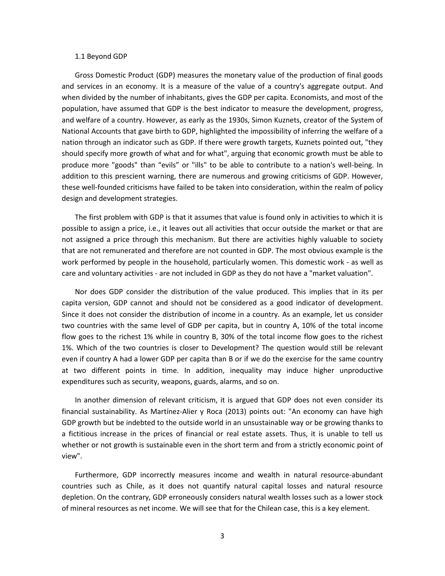#### 1.1 Beyond GDP

Gross Domestic Product (GDP) measures the monetary value of the production of final goods and services in an economy. It is a measure of the value of a country's aggregate output. And when divided by the number of inhabitants, gives the GDP per capita. Economists, and most of the population, have assumed that GDP is the best indicator to measure the development, progress, and welfare of a country. However, as early as the 1930s, Simon Kuznets, creator of the System of National Accounts that gave birth to GDP, highlighted the impossibility of inferring the welfare of a nation through an indicator such as GDP. If there were growth targets, Kuznets pointed out, "they should specify more growth of what and for what", arguing that economic growth must be able to produce more "goods" than "evils" or "ills" to be able to contribute to a nation's well-being. In addition to this prescient warning, there are numerous and growing criticisms of GDP. However, these well-founded criticisms have failed to be taken into consideration, within the realm of policy design and development strategies.

The first problem with GDP is that it assumes that value is found only in activities to which it is possible to assign a price, i.e., it leaves out all activities that occur outside the market or that are not assigned a price through this mechanism. But there are activities highly valuable to society that are not remunerated and therefore are not counted in GDP. The most obvious example is the work performed by people in the household, particularly women. This domestic work - as well as care and voluntary activities - are not included in GDP as they do not have a "market valuation".

Nor does GDP consider the distribution of the value produced. This implies that in its per capita version, GDP cannot and should not be considered as a good indicator of development. Since it does not consider the distribution of income in a country. As an example, let us consider two countries with the same level of GDP per capita, but in country A, 10% of the total income flow goes to the richest 1% while in country B, 30% of the total income flow goes to the richest 1%. Which of the two countries is closer to Development? The question would still be relevant even if country A had a lower GDP per capita than B or if we do the exercise for the same country at two different points in time. In addition, inequality may induce higher unproductive expenditures such as security, weapons, guards, alarms, and so on.

In another dimension of relevant criticism, it is argued that GDP does not even consider its financial sustainability. As Martínez-Alier y Roca (2013) points out: "An economy can have high GDP growth but be indebted to the outside world in an unsustainable way or be growing thanks to a fictitious increase in the prices of financial or real estate assets. Thus, it is unable to tell us whether or not growth is sustainable even in the short term and from a strictly economic point of view".

Furthermore, GDP incorrectly measures income and wealth in natural resource-abundant countries such as Chile, as it does not quantify natural capital losses and natural resource depletion. On the contrary, GDP erroneously considers natural wealth losses such as a lower stock of mineral resources as net income. We will see that for the Chilean case, this is a key element.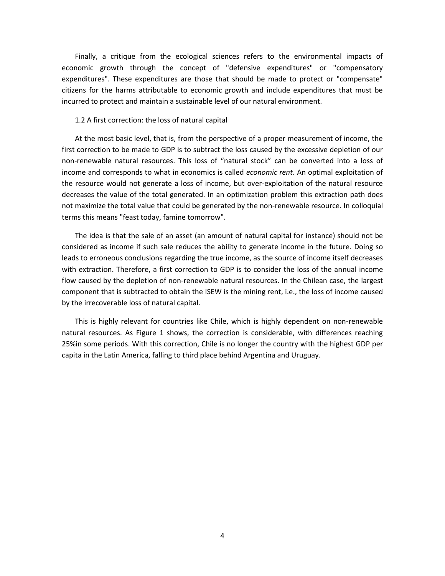Finally, a critique from the ecological sciences refers to the environmental impacts of economic growth through the concept of "defensive expenditures" or "compensatory expenditures". These expenditures are those that should be made to protect or "compensate" citizens for the harms attributable to economic growth and include expenditures that must be incurred to protect and maintain a sustainable level of our natural environment.

#### 1.2 A first correction: the loss of natural capital

At the most basic level, that is, from the perspective of a proper measurement of income, the first correction to be made to GDP is to subtract the loss caused by the excessive depletion of our non-renewable natural resources. This loss of "natural stock" can be converted into a loss of income and corresponds to what in economics is called *economic rent*. An optimal exploitation of the resource would not generate a loss of income, but over-exploitation of the natural resource decreases the value of the total generated. In an optimization problem this extraction path does not maximize the total value that could be generated by the non-renewable resource. In colloquial terms this means "feast today, famine tomorrow".

The idea is that the sale of an asset (an amount of natural capital for instance) should not be considered as income if such sale reduces the ability to generate income in the future. Doing so leads to erroneous conclusions regarding the true income, as the source of income itself decreases with extraction. Therefore, a first correction to GDP is to consider the loss of the annual income flow caused by the depletion of non-renewable natural resources. In the Chilean case, the largest component that is subtracted to obtain the ISEW is the mining rent, i.e., the loss of income caused by the irrecoverable loss of natural capital.

This is highly relevant for countries like Chile, which is highly dependent on non-renewable natural resources. As Figure 1 shows, the correction is considerable, with differences reaching 25%in some periods. With this correction, Chile is no longer the country with the highest GDP per capita in the Latin America, falling to third place behind Argentina and Uruguay.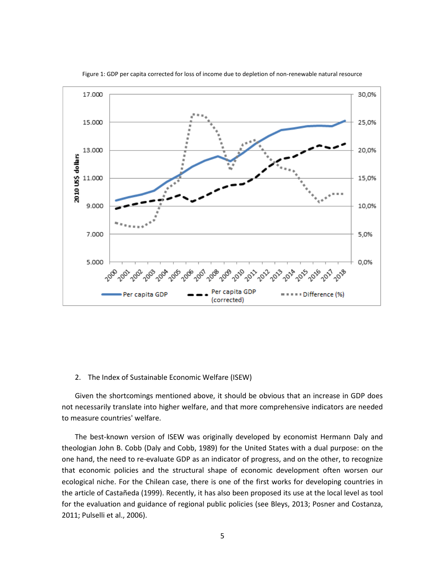

Figure 1: GDP per capita corrected for loss of income due to depletion of non-renewable natural resource

#### 2. The Index of Sustainable Economic Welfare (ISEW)

Given the shortcomings mentioned above, it should be obvious that an increase in GDP does not necessarily translate into higher welfare, and that more comprehensive indicators are needed to measure countries' welfare.

The best-known version of ISEW was originally developed by economist Hermann Daly and theologian John B. Cobb (Daly and Cobb, 1989) for the United States with a dual purpose: on the one hand, the need to re-evaluate GDP as an indicator of progress, and on the other, to recognize that economic policies and the structural shape of economic development often worsen our ecological niche. For the Chilean case, there is one of the first works for developing countries in the article of Castañeda (1999). Recently, it has also been proposed its use at the local level as tool for the evaluation and guidance of regional public policies (see Bleys, 2013; Posner and Costanza, 2011; Pulselli et al., 2006).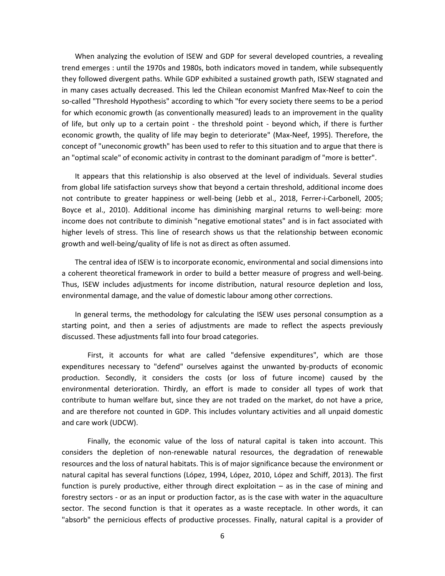When analyzing the evolution of ISEW and GDP for several developed countries, a revealing trend emerges : until the 1970s and 1980s, both indicators moved in tandem, while subsequently they followed divergent paths. While GDP exhibited a sustained growth path, ISEW stagnated and in many cases actually decreased. This led the Chilean economist Manfred Max-Neef to coin the so-called "Threshold Hypothesis" according to which "for every society there seems to be a period for which economic growth (as conventionally measured) leads to an improvement in the quality of life, but only up to a certain point - the threshold point - beyond which, if there is further economic growth, the quality of life may begin to deteriorate" (Max-Neef, 1995). Therefore, the concept of "uneconomic growth" has been used to refer to this situation and to argue that there is an "optimal scale" of economic activity in contrast to the dominant paradigm of "more is better".

It appears that this relationship is also observed at the level of individuals. Several studies from global life satisfaction surveys show that beyond a certain threshold, additional income does not contribute to greater happiness or well-being (Jebb et al., 2018, Ferrer-i-Carbonell, 2005; Boyce et al., 2010). Additional income has diminishing marginal returns to well-being: more income does not contribute to diminish "negative emotional states" and is in fact associated with higher levels of stress. This line of research shows us that the relationship between economic growth and well-being/quality of life is not as direct as often assumed.

The central idea of ISEW is to incorporate economic, environmental and social dimensions into a coherent theoretical framework in order to build a better measure of progress and well-being. Thus, ISEW includes adjustments for income distribution, natural resource depletion and loss, environmental damage, and the value of domestic labour among other corrections.

In general terms, the methodology for calculating the ISEW uses personal consumption as a starting point, and then a series of adjustments are made to reflect the aspects previously discussed. These adjustments fall into four broad categories.

First, it accounts for what are called "defensive expenditures", which are those expenditures necessary to "defend" ourselves against the unwanted by-products of economic production. Secondly, it considers the costs (or loss of future income) caused by the environmental deterioration. Thirdly, an effort is made to consider all types of work that contribute to human welfare but, since they are not traded on the market, do not have a price, and are therefore not counted in GDP. This includes voluntary activities and all unpaid domestic and care work (UDCW).

Finally, the economic value of the loss of natural capital is taken into account. This considers the depletion of non-renewable natural resources, the degradation of renewable resources and the loss of natural habitats. This is of major significance because the environment or natural capital has several functions (López, 1994, López, 2010, López and Schiff, 2013). The first function is purely productive, either through direct exploitation – as in the case of mining and forestry sectors - or as an input or production factor, as is the case with water in the aquaculture sector. The second function is that it operates as a waste receptacle. In other words, it can "absorb" the pernicious effects of productive processes. Finally, natural capital is a provider of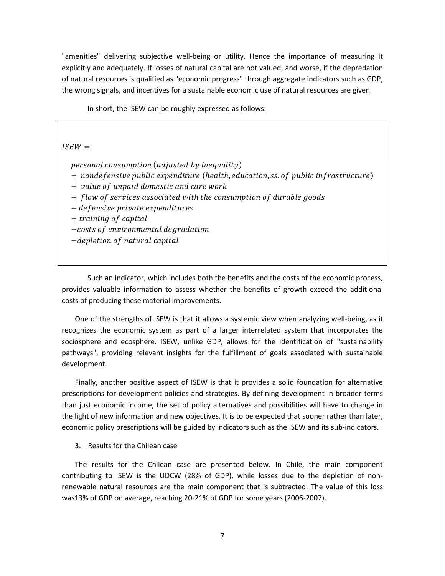"amenities" delivering subjective well-being or utility. Hence the importance of measuring it explicitly and adequately. If losses of natural capital are not valued, and worse, if the depredation of natural resources is qualified as "economic progress" through aggregate indicators such as GDP, the wrong signals, and incentives for a sustainable economic use of natural resources are given.

In short, the ISEW can be roughly expressed as follows:

 $ISEW =$ 

personal consumption (adjusted by inequality) + nondefensive public expenditure (health, education, ss. of public infrastructure) + value of unpaid domestic and care work + flow of services associated with the consumption of durable goods − defensive private expenditures + training of capital −costs of environmental degradation −depletion of natural capital

Such an indicator, which includes both the benefits and the costs of the economic process, provides valuable information to assess whether the benefits of growth exceed the additional costs of producing these material improvements.

One of the strengths of ISEW is that it allows a systemic view when analyzing well-being, as it recognizes the economic system as part of a larger interrelated system that incorporates the sociosphere and ecosphere. ISEW, unlike GDP, allows for the identification of "sustainability pathways", providing relevant insights for the fulfillment of goals associated with sustainable development.

Finally, another positive aspect of ISEW is that it provides a solid foundation for alternative prescriptions for development policies and strategies. By defining development in broader terms than just economic income, the set of policy alternatives and possibilities will have to change in the light of new information and new objectives. It is to be expected that sooner rather than later, economic policy prescriptions will be guided by indicators such as the ISEW and its sub-indicators.

3. Results for the Chilean case

The results for the Chilean case are presented below. In Chile, the main component contributing to ISEW is the UDCW (28% of GDP), while losses due to the depletion of nonrenewable natural resources are the main component that is subtracted. The value of this loss was13% of GDP on average, reaching 20-21% of GDP for some years (2006-2007).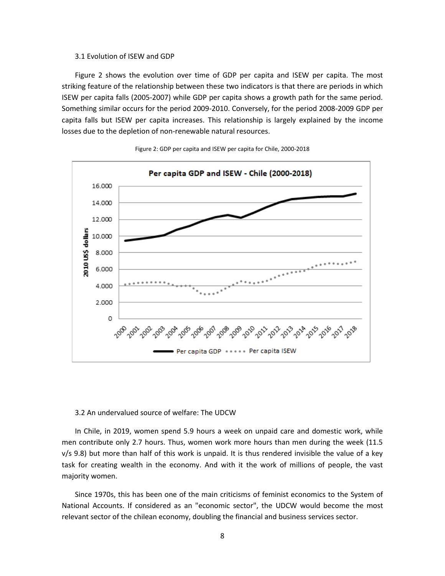#### 3.1 Evolution of ISEW and GDP

Figure 2 shows the evolution over time of GDP per capita and ISEW per capita. The most striking feature of the relationship between these two indicators is that there are periods in which ISEW per capita falls (2005-2007) while GDP per capita shows a growth path for the same period. Something similar occurs for the period 2009-2010. Conversely, for the period 2008-2009 GDP per capita falls but ISEW per capita increases. This relationship is largely explained by the income losses due to the depletion of non-renewable natural resources.



Figure 2: GDP per capita and ISEW per capita for Chile, 2000-2018

#### 3.2 An undervalued source of welfare: The UDCW

In Chile, in 2019, women spend 5.9 hours a week on unpaid care and domestic work, while men contribute only 2.7 hours. Thus, women work more hours than men during the week (11.5  $v/s$  9.8) but more than half of this work is unpaid. It is thus rendered invisible the value of a key task for creating wealth in the economy. And with it the work of millions of people, the vast majority women.

Since 1970s, this has been one of the main criticisms of feminist economics to the System of National Accounts. If considered as an "economic sector", the UDCW would become the most relevant sector of the chilean economy, doubling the financial and business services sector.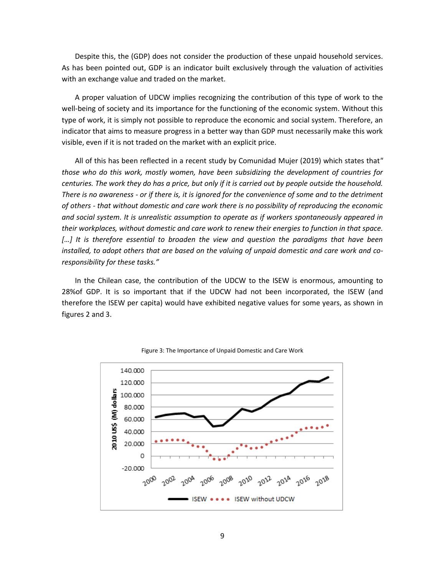Despite this, the (GDP) does not consider the production of these unpaid household services. As has been pointed out, GDP is an indicator built exclusively through the valuation of activities with an exchange value and traded on the market.

A proper valuation of UDCW implies recognizing the contribution of this type of work to the well-being of society and its importance for the functioning of the economic system. Without this type of work, it is simply not possible to reproduce the economic and social system. Therefore, an indicator that aims to measure progress in a better way than GDP must necessarily make this work visible, even if it is not traded on the market with an explicit price.

All of this has been reflected in a recent study by Comunidad Mujer (2019) which states that*" those who do this work, mostly women, have been subsidizing the development of countries for centuries. The work they do has a price, but only if it is carried out by people outside the household. There is no awareness - or if there is, it is ignored for the convenience of some and to the detriment of others - that without domestic and care work there is no possibility of reproducing the economic and social system. It is unrealistic assumption to operate as if workers spontaneously appeared in their workplaces, without domestic and care work to renew their energies to function in that space. […] It is therefore essential to broaden the view and question the paradigms that have been installed, to adopt others that are based on the valuing of unpaid domestic and care work and coresponsibility for these tasks."*

In the Chilean case, the contribution of the UDCW to the ISEW is enormous, amounting to 28%of GDP. It is so important that if the UDCW had not been incorporated, the ISEW (and therefore the ISEW per capita) would have exhibited negative values for some years, as shown in figures 2 and 3.



Figure 3: The Importance of Unpaid Domestic and Care Work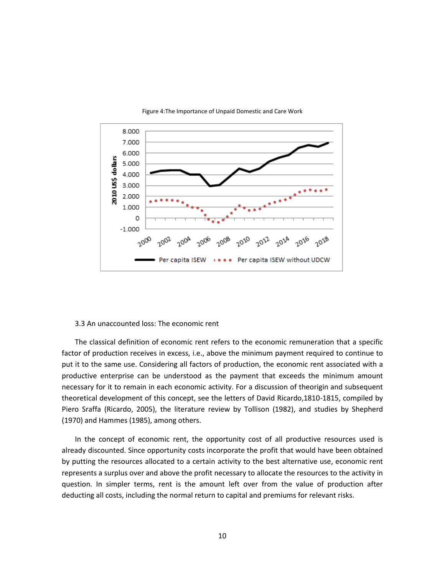

#### Figure 4:The Importance of Unpaid Domestic and Care Work

#### 3.3 An unaccounted loss: The economic rent

The classical definition of economic rent refers to the economic remuneration that a specific factor of production receives in excess, i.e., above the minimum payment required to continue to put it to the same use. Considering all factors of production, the economic rent associated with a productive enterprise can be understood as the payment that exceeds the minimum amount necessary for it to remain in each economic activity. For a discussion of theorigin and subsequent theoretical development of this concept, see the letters of David Ricardo,1810-1815, compiled by Piero Sraffa (Ricardo, 2005), the literature review by Tollison (1982), and studies by Shepherd (1970) and Hammes (1985), among others.

In the concept of economic rent, the opportunity cost of all productive resources used is already discounted. Since opportunity costs incorporate the profit that would have been obtained by putting the resources allocated to a certain activity to the best alternative use, economic rent represents a surplus over and above the profit necessary to allocate the resources to the activity in question. In simpler terms, rent is the amount left over from the value of production after deducting all costs, including the normal return to capital and premiums for relevant risks.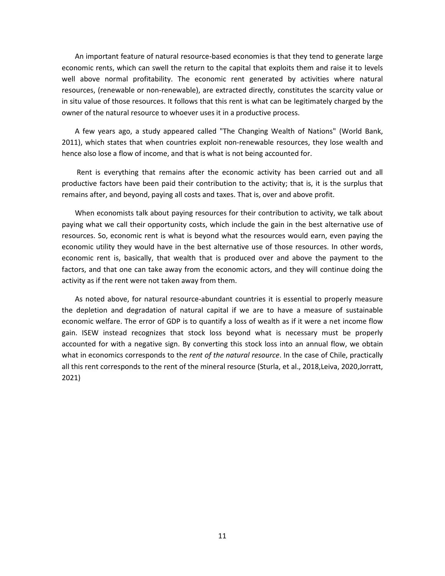An important feature of natural resource-based economies is that they tend to generate large economic rents, which can swell the return to the capital that exploits them and raise it to levels well above normal profitability. The economic rent generated by activities where natural resources, (renewable or non-renewable), are extracted directly, constitutes the scarcity value or in situ value of those resources. It follows that this rent is what can be legitimately charged by the owner of the natural resource to whoever uses it in a productive process.

A few years ago, a study appeared called "The Changing Wealth of Nations" (World Bank, 2011), which states that when countries exploit non-renewable resources, they lose wealth and hence also lose a flow of income, and that is what is not being accounted for.

Rent is everything that remains after the economic activity has been carried out and all productive factors have been paid their contribution to the activity; that is, it is the surplus that remains after, and beyond, paying all costs and taxes. That is, over and above profit.

When economists talk about paying resources for their contribution to activity, we talk about paying what we call their opportunity costs, which include the gain in the best alternative use of resources. So, economic rent is what is beyond what the resources would earn, even paying the economic utility they would have in the best alternative use of those resources. In other words, economic rent is, basically, that wealth that is produced over and above the payment to the factors, and that one can take away from the economic actors, and they will continue doing the activity as if the rent were not taken away from them.

As noted above, for natural resource-abundant countries it is essential to properly measure the depletion and degradation of natural capital if we are to have a measure of sustainable economic welfare. The error of GDP is to quantify a loss of wealth as if it were a net income flow gain. ISEW instead recognizes that stock loss beyond what is necessary must be properly accounted for with a negative sign. By converting this stock loss into an annual flow, we obtain what in economics corresponds to the *rent of the natural resource*. In the case of Chile, practically all this rent corresponds to the rent of the mineral resource (Sturla, et al., 2018,Leiva, 2020,Jorratt, 2021)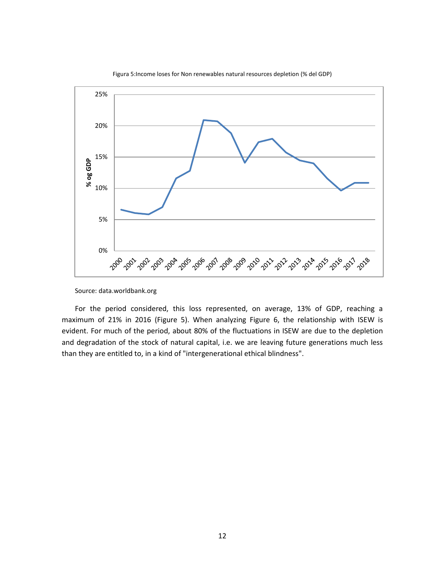

Figura 5:Income loses for Non renewables natural resources depletion (% del GDP)

For the period considered, this loss represented, on average, 13% of GDP, reaching a maximum of 21% in 2016 (Figure 5). When analyzing Figure 6, the relationship with ISEW is evident. For much of the period, about 80% of the fluctuations in ISEW are due to the depletion and degradation of the stock of natural capital, i.e. we are leaving future generations much less than they are entitled to, in a kind of "intergenerational ethical blindness".

Source: data.worldbank.org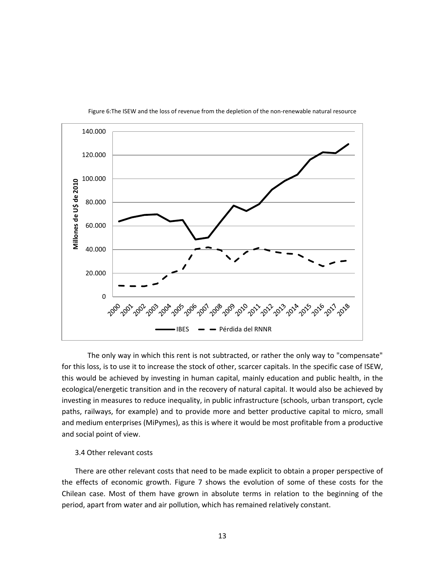

Figure 6:The ISEW and the loss of revenue from the depletion of the non-renewable natural resource

The only way in which this rent is not subtracted, or rather the only way to "compensate" for this loss, is to use it to increase the stock of other, scarcer capitals. In the specific case of ISEW, this would be achieved by investing in human capital, mainly education and public health, in the ecological/energetic transition and in the recovery of natural capital. It would also be achieved by investing in measures to reduce inequality, in public infrastructure (schools, urban transport, cycle paths, railways, for example) and to provide more and better productive capital to micro, small and medium enterprises (MiPymes), as this is where it would be most profitable from a productive and social point of view.

#### 3.4 Other relevant costs

There are other relevant costs that need to be made explicit to obtain a proper perspective of the effects of economic growth. Figure 7 shows the evolution of some of these costs for the Chilean case. Most of them have grown in absolute terms in relation to the beginning of the period, apart from water and air pollution, which has remained relatively constant.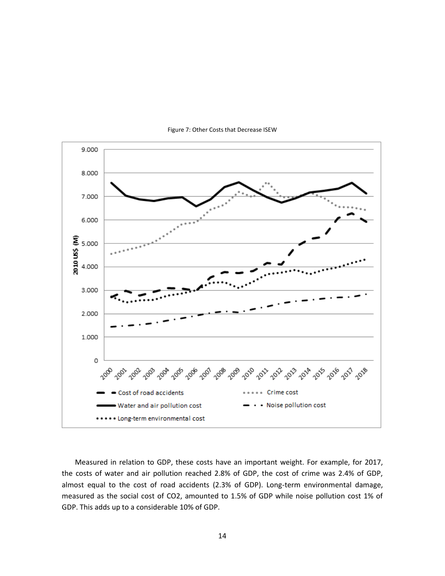

Figure 7: Other Costs that Decrease ISEW

Measured in relation to GDP, these costs have an important weight. For example, for 2017, the costs of water and air pollution reached 2.8% of GDP, the cost of crime was 2.4% of GDP, almost equal to the cost of road accidents (2.3% of GDP). Long-term environmental damage, measured as the social cost of CO2, amounted to 1.5% of GDP while noise pollution cost 1% of GDP. This adds up to a considerable 10% of GDP.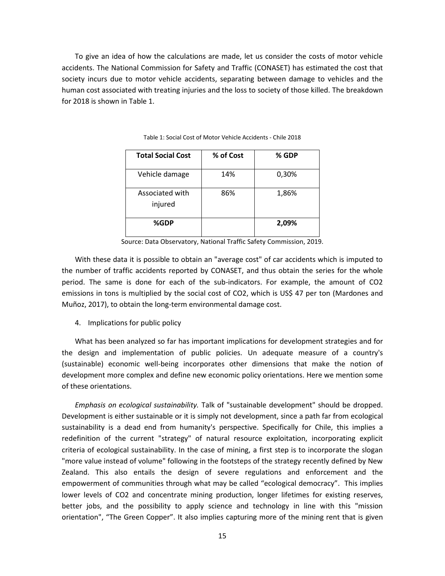To give an idea of how the calculations are made, let us consider the costs of motor vehicle accidents. The National Commission for Safety and Traffic (CONASET) has estimated the cost that society incurs due to motor vehicle accidents, separating between damage to vehicles and the human cost associated with treating injuries and the loss to society of those killed. The breakdown for 2018 is shown in Table 1.

| <b>Total Social Cost</b>   | % of Cost | % GDP |
|----------------------------|-----------|-------|
| Vehicle damage             | 14%       | 0,30% |
| Associated with<br>injured | 86%       | 1,86% |
| %GDP                       |           | 2,09% |

Table 1: Social Cost of Motor Vehicle Accidents - Chile 2018

Source: Data Observatory, National Traffic Safety Commission, 2019.

With these data it is possible to obtain an "average cost" of car accidents which is imputed to the number of traffic accidents reported by CONASET, and thus obtain the series for the whole period. The same is done for each of the sub-indicators. For example, the amount of CO2 emissions in tons is multiplied by the social cost of CO2, which is US\$ 47 per ton (Mardones and Muñoz, 2017), to obtain the long-term environmental damage cost.

4. Implications for public policy

What has been analyzed so far has important implications for development strategies and for the design and implementation of public policies. Un adequate measure of a country's (sustainable) economic well-being incorporates other dimensions that make the notion of development more complex and define new economic policy orientations. Here we mention some of these orientations.

*Emphasis on ecological sustainability.* Talk of "sustainable development" should be dropped. Development is either sustainable or it is simply not development, since a path far from ecological sustainability is a dead end from humanity's perspective. Specifically for Chile, this implies a redefinition of the current "strategy" of natural resource exploitation, incorporating explicit criteria of ecological sustainability. In the case of mining, a first step is to incorporate the slogan "more value instead of volume" following in the footsteps of the strategy recently defined by New Zealand. This also entails the design of severe regulations and enforcement and the empowerment of communities through what may be called "ecological democracy". This implies lower levels of CO2 and concentrate mining production, longer lifetimes for existing reserves, better jobs, and the possibility to apply science and technology in line with this "mission orientation", "The Green Copper". It also implies capturing more of the mining rent that is given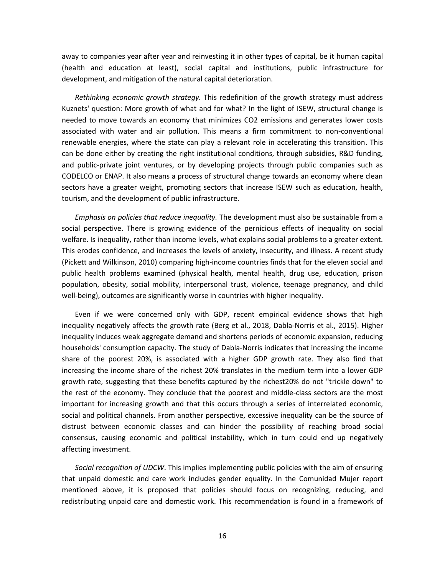away to companies year after year and reinvesting it in other types of capital, be it human capital (health and education at least), social capital and institutions, public infrastructure for development, and mitigation of the natural capital deterioration.

*Rethinking economic growth strategy.* This redefinition of the growth strategy must address Kuznets' question: More growth of what and for what? In the light of ISEW, structural change is needed to move towards an economy that minimizes CO2 emissions and generates lower costs associated with water and air pollution. This means a firm commitment to non-conventional renewable energies, where the state can play a relevant role in accelerating this transition. This can be done either by creating the right institutional conditions, through subsidies, R&D funding, and public-private joint ventures, or by developing projects through public companies such as CODELCO or ENAP. It also means a process of structural change towards an economy where clean sectors have a greater weight, promoting sectors that increase ISEW such as education, health, tourism, and the development of public infrastructure.

*Emphasis on policies that reduce inequality.* The development must also be sustainable from a social perspective. There is growing evidence of the pernicious effects of inequality on social welfare. Is inequality, rather than income levels, what explains social problems to a greater extent. This erodes confidence, and increases the levels of anxiety, insecurity, and illness. A recent study (Pickett and Wilkinson, 2010) comparing high-income countries finds that for the eleven social and public health problems examined (physical health, mental health, drug use, education, prison population, obesity, social mobility, interpersonal trust, violence, teenage pregnancy, and child well-being), outcomes are significantly worse in countries with higher inequality.

Even if we were concerned only with GDP, recent empirical evidence shows that high inequality negatively affects the growth rate (Berg et al., 2018, Dabla-Norris et al., 2015). Higher inequality induces weak aggregate demand and shortens periods of economic expansion, reducing households' consumption capacity. The study of Dabla-Norris indicates that increasing the income share of the poorest 20%, is associated with a higher GDP growth rate. They also find that increasing the income share of the richest 20% translates in the medium term into a lower GDP growth rate, suggesting that these benefits captured by the richest20% do not "trickle down" to the rest of the economy. They conclude that the poorest and middle-class sectors are the most important for increasing growth and that this occurs through a series of interrelated economic, social and political channels. From another perspective, excessive inequality can be the source of distrust between economic classes and can hinder the possibility of reaching broad social consensus, causing economic and political instability, which in turn could end up negatively affecting investment.

*Social recognition of UDCW*. This implies implementing public policies with the aim of ensuring that unpaid domestic and care work includes gender equality. In the Comunidad Mujer report mentioned above, it is proposed that policies should focus on recognizing, reducing, and redistributing unpaid care and domestic work. This recommendation is found in a framework of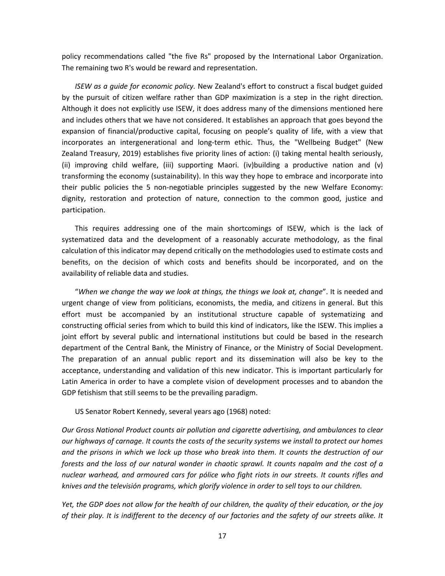policy recommendations called "the five Rs" proposed by the International Labor Organization. The remaining two R's would be reward and representation.

*ISEW as a guide for economic policy.* New Zealand's effort to construct a fiscal budget guided by the pursuit of citizen welfare rather than GDP maximization is a step in the right direction. Although it does not explicitly use ISEW, it does address many of the dimensions mentioned here and includes others that we have not considered. It establishes an approach that goes beyond the expansion of financial/productive capital, focusing on people's quality of life, with a view that incorporates an intergenerational and long-term ethic. Thus, the "Wellbeing Budget" (New Zealand Treasury, 2019) establishes five priority lines of action: (i) taking mental health seriously, (ii) improving child welfare, (iii) supporting Maori. (iv)building a productive nation and (v) transforming the economy (sustainability). In this way they hope to embrace and incorporate into their public policies the 5 non-negotiable principles suggested by the new Welfare Economy: dignity, restoration and protection of nature, connection to the common good, justice and participation.

This requires addressing one of the main shortcomings of ISEW, which is the lack of systematized data and the development of a reasonably accurate methodology, as the final calculation of this indicator may depend critically on the methodologies used to estimate costs and benefits, on the decision of which costs and benefits should be incorporated, and on the availability of reliable data and studies.

"*When we change the way we look at things, the things we look at, change*". It is needed and urgent change of view from politicians, economists, the media, and citizens in general. But this effort must be accompanied by an institutional structure capable of systematizing and constructing official series from which to build this kind of indicators, like the ISEW. This implies a joint effort by several public and international institutions but could be based in the research department of the Central Bank, the Ministry of Finance, or the Ministry of Social Development. The preparation of an annual public report and its dissemination will also be key to the acceptance, understanding and validation of this new indicator. This is important particularly for Latin America in order to have a complete vision of development processes and to abandon the GDP fetishism that still seems to be the prevailing paradigm.

US Senator Robert Kennedy, several years ago (1968) noted:

*Our Gross National Product counts air pollution and cigarette advertising, and ambulances to clear our highways of carnage. It counts the costs of the security systems we install to protect our homes and the prisons in which we lock up those who break into them. It counts the destruction of our forests and the loss of our natural wonder in chaotic sprawl. It counts napalm and the cost of a nuclear warhead, and armoured cars for pólice who fight riots in our streets. It counts rifles and knives and the televisión programs, which glorify violence in order to sell toys to our children.*

*Yet, the GDP does not allow for the health of our children, the quality of their education, or the joy of their play. It is indifferent to the decency of our factories and the safety of our streets alike. It*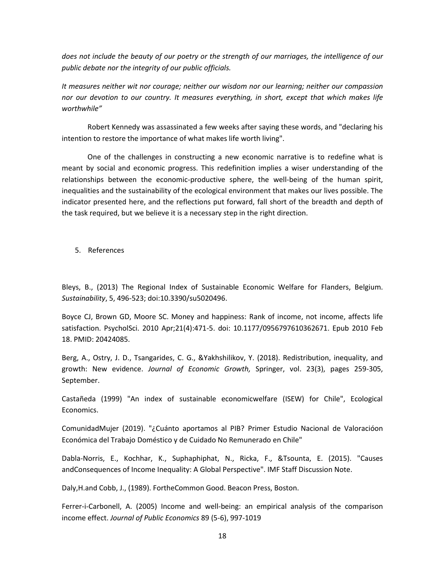*does not include the beauty of our poetry or the strength of our marriages, the intelligence of our public debate nor the integrity of our public officials.*

*It measures neither wit nor courage; neither our wisdom nor our learning; neither our compassion nor our devotion to our country. It measures everything, in short, except that which makes life worthwhile"*

Robert Kennedy was assassinated a few weeks after saying these words, and "declaring his intention to restore the importance of what makes life worth living".

One of the challenges in constructing a new economic narrative is to redefine what is meant by social and economic progress. This redefinition implies a wiser understanding of the relationships between the economic-productive sphere, the well-being of the human spirit, inequalities and the sustainability of the ecological environment that makes our lives possible. The indicator presented here, and the reflections put forward, fall short of the breadth and depth of the task required, but we believe it is a necessary step in the right direction.

5. References

Bleys, B., (2013) The Regional Index of Sustainable Economic Welfare for Flanders, Belgium. *Sustainability*, 5, 496-523; doi:10.3390/su5020496.

Boyce CJ, Brown GD, Moore SC. Money and happiness: Rank of income, not income, affects life satisfaction. PsycholSci. 2010 Apr;21(4):471-5. doi: 10.1177/0956797610362671. Epub 2010 Feb 18. PMID: 20424085.

Berg, A., Ostry, J. D., Tsangarides, C. G., &Yakhshilikov, Y. (2018). Redistribution, inequality, and growth: New evidence. *Journal of Economic Growth,* Springer, vol. 23(3), pages 259-305, September.

Castañeda (1999) "An index of sustainable economicwelfare (ISEW) for Chile", Ecological Economics.

ComunidadMujer (2019). "¿Cuánto aportamos al PIB? Primer Estudio Nacional de Valoracióon Económica del Trabajo Doméstico y de Cuidado No Remunerado en Chile"

Dabla-Norris, E., Kochhar, K., Suphaphiphat, N., Ricka, F., &Tsounta, E. (2015). "Causes andConsequences of Income Inequality: A Global Perspective". IMF Staff Discussion Note.

Daly,H.and Cobb, J., (1989). FortheCommon Good. Beacon Press, Boston.

Ferrer-i-Carbonell, A. (2005) Income and well-being: an empirical analysis of the comparison income effect. *Journal of Public Economics* 89 (5-6), 997-1019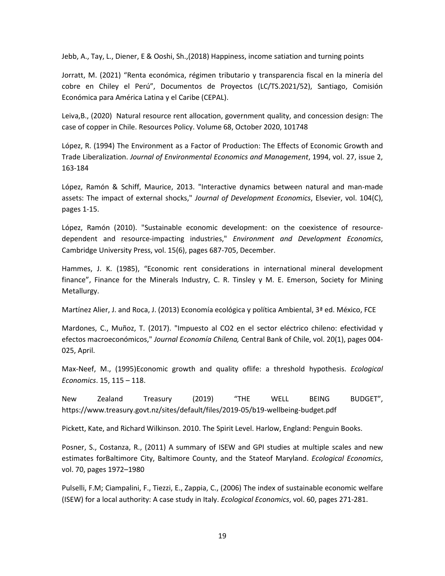Jebb, A., Tay, L., Diener, E & Ooshi, Sh.,(2018) Happiness, income satiation and turning points

Jorratt, M. (2021) "Renta económica, régimen tributario y transparencia fiscal en la minería del cobre en Chiley el Perú", Documentos de Proyectos (LC/TS.2021/52), Santiago, Comisión Económica para América Latina y el Caribe (CEPAL).

Leiva,B., (2020) Natural resource rent allocation, government quality, and concession design: The case of copper in Chile. Resources Policy. Volume 68, October 2020, 101748

López, R. (1994) The Environment as a Factor of Production: The Effects of Economic Growth and Trade Liberalization. *Journal of Environmental Economics and Management*, 1994, vol. 27, issue 2, 163-184

López, Ramón & Schiff, Maurice, 2013. "Interactive dynamics between natural and man-made assets: The impact of external shocks," *Journal of Development Economics*, Elsevier, vol. 104(C), pages 1-15.

López, Ramón (2010). "Sustainable economic development: on the coexistence of resourcedependent and resource-impacting industries," *Environment and Development Economics*, Cambridge University Press, vol. 15(6), pages 687-705, December.

Hammes, J. K. (1985), "Economic rent considerations in international mineral development finance", Finance for the Minerals Industry, C. R. Tinsley y M. E. Emerson, Society for Mining Metallurgy.

Martínez Alier, J. and Roca, J. (2013) Economía ecológica y política Ambiental, 3ª ed. México, FCE

Mardones, C., Muñoz, T. (2017). "Impuesto al CO2 en el sector eléctrico chileno: efectividad y efectos macroeconómicos," *Journal Economía Chilena,* Central Bank of Chile, vol. 20(1), pages 004- 025, April.

Max-Neef, M., (1995)Economic growth and quality oflife: a threshold hypothesis. *Ecological Economics*. 15, 115 – 118.

New Zealand Treasury (2019) "THE WELL BEING BUDGET", https://www.treasury.govt.nz/sites/default/files/2019-05/b19-wellbeing-budget.pdf

Pickett, Kate, and Richard Wilkinson. 2010. The Spirit Level. Harlow, England: Penguin Books.

Posner, S., Costanza, R., (2011) A summary of ISEW and GPI studies at multiple scales and new estimates forBaltimore City, Baltimore County, and the Stateof Maryland. *Ecological Economics*, vol. 70, pages 1972–1980

Pulselli, F.M; Ciampalini, F., Tiezzi, E., Zappia, C., (2006) The index of sustainable economic welfare (ISEW) for a local authority: A case study in Italy. *Ecological Economics*, vol. 60, pages 271-281.